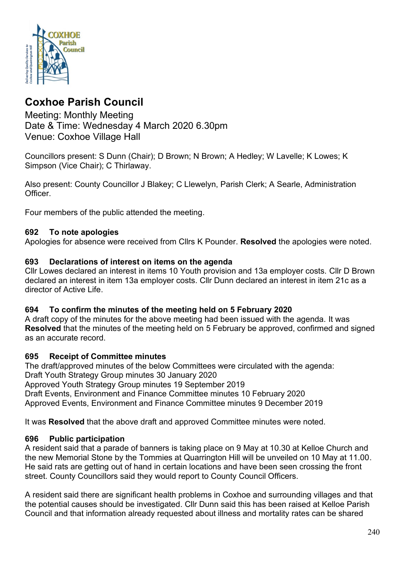

# **Coxhoe Parish Council**

Meeting: Monthly Meeting Date & Time: Wednesday 4 March 2020 6.30pm Venue: Coxhoe Village Hall

Councillors present: S Dunn (Chair); D Brown; N Brown; A Hedley; W Lavelle; K Lowes; K Simpson (Vice Chair); C Thirlaway.

Also present: County Councillor J Blakey; C Llewelyn, Parish Clerk; A Searle, Administration Officer.

Four members of the public attended the meeting.

### **692 To note apologies**

Apologies for absence were received from Cllrs K Pounder. **Resolved** the apologies were noted.

### **693 Declarations of interest on items on the agenda**

Cllr Lowes declared an interest in items 10 Youth provision and 13a employer costs. Cllr D Brown declared an interest in item 13a employer costs. Cllr Dunn declared an interest in item 21c as a director of Active Life.

#### **694 To confirm the minutes of the meeting held on 5 February 2020**

A draft copy of the minutes for the above meeting had been issued with the agenda. It was **Resolved** that the minutes of the meeting held on 5 February be approved, confirmed and signed as an accurate record.

#### **695 Receipt of Committee minutes**

The draft/approved minutes of the below Committees were circulated with the agenda: Draft Youth Strategy Group minutes 30 January 2020 Approved Youth Strategy Group minutes 19 September 2019 Draft Events, Environment and Finance Committee minutes 10 February 2020 Approved Events, Environment and Finance Committee minutes 9 December 2019

It was **Resolved** that the above draft and approved Committee minutes were noted.

#### **696 Public participation**

A resident said that a parade of banners is taking place on 9 May at 10.30 at Kelloe Church and the new Memorial Stone by the Tommies at Quarrington Hill will be unveiled on 10 May at 11.00. He said rats are getting out of hand in certain locations and have been seen crossing the front street. County Councillors said they would report to County Council Officers.

A resident said there are significant health problems in Coxhoe and surrounding villages and that the potential causes should be investigated. Cllr Dunn said this has been raised at Kelloe Parish Council and that information already requested about illness and mortality rates can be shared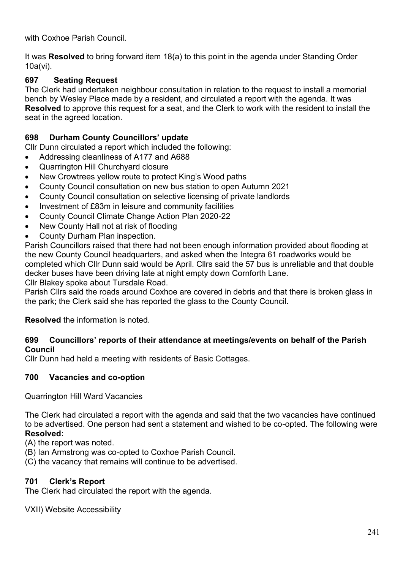with Coxhoe Parish Council.

It was **Resolved** to bring forward item 18(a) to this point in the agenda under Standing Order 10a(vi).

# **697 Seating Request**

The Clerk had undertaken neighbour consultation in relation to the request to install a memorial bench by Wesley Place made by a resident, and circulated a report with the agenda. It was **Resolved** to approve this request for a seat, and the Clerk to work with the resident to install the seat in the agreed location.

# **698 Durham County Councillors' update**

Cllr Dunn circulated a report which included the following:

- Addressing cleanliness of A177 and A688
- Quarrington Hill Churchyard closure
- New Crowtrees yellow route to protect King's Wood paths
- County Council consultation on new bus station to open Autumn 2021
- County Council consultation on selective licensing of private landlords
- Investment of £83m in leisure and community facilities
- County Council Climate Change Action Plan 2020-22
- New County Hall not at risk of flooding
- County Durham Plan inspection.

Parish Councillors raised that there had not been enough information provided about flooding at the new County Council headquarters, and asked when the Integra 61 roadworks would be completed which Cllr Dunn said would be April. Cllrs said the 57 bus is unreliable and that double decker buses have been driving late at night empty down Cornforth Lane.

Cllr Blakey spoke about Tursdale Road.

Parish Cllrs said the roads around Coxhoe are covered in debris and that there is broken glass in the park; the Clerk said she has reported the glass to the County Council.

**Resolved** the information is noted.

## **699 Councillors' reports of their attendance at meetings/events on behalf of the Parish Council**

Cllr Dunn had held a meeting with residents of Basic Cottages.

## **700 Vacancies and co-option**

Quarrington Hill Ward Vacancies

The Clerk had circulated a report with the agenda and said that the two vacancies have continued to be advertised. One person had sent a statement and wished to be co-opted. The following were **Resolved:**

(A) the report was noted.

- (B) Ian Armstrong was co-opted to Coxhoe Parish Council.
- (C) the vacancy that remains will continue to be advertised.

## **701 Clerk's Report**

The Clerk had circulated the report with the agenda.

VXII) Website Accessibility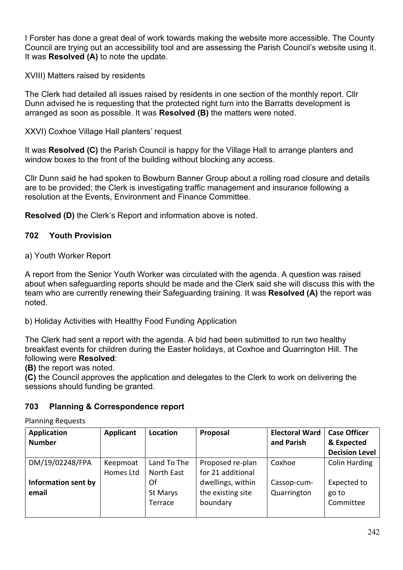I Forster has done a great deal of work towards making the website more accessible. The County Council are trying out an accessibility tool and are assessing the Parish Council's website using it. It was **Resolved (A)** to note the update.

XVIII) Matters raised by residents

The Clerk had detailed all issues raised by residents in one section of the monthly report. Cllr Dunn advised he is requesting that the protected right turn into the Barratts development is arranged as soon as possible. It was **Resolved (B)** the matters were noted.

XXVI) Coxhoe Village Hall planters' request

It was **Resolved (C)** the Parish Council is happy for the Village Hall to arrange planters and window boxes to the front of the building without blocking any access.

Cllr Dunn said he had spoken to Bowburn Banner Group about a rolling road closure and details are to be provided; the Clerk is investigating traffic management and insurance following a resolution at the Events, Environment and Finance Committee.

**Resolved (D)** the Clerk's Report and information above is noted.

# **702 Youth Provision**

a) Youth Worker Report

A report from the Senior Youth Worker was circulated with the agenda. A question was raised about when safeguarding reports should be made and the Clerk said she will discuss this with the team who are currently renewing their Safeguarding training. It was **Resolved (A)** the report was noted.

b) Holiday Activities with Healthy Food Funding Application

The Clerk had sent a report with the agenda. A bid had been submitted to run two healthy breakfast events for children during the Easter holidays, at Coxhoe and Quarrington Hill. The following were **Resolved**:

**(B)** the report was noted.

**(C)** the Council approves the application and delegates to the Clerk to work on delivering the sessions should funding be granted.

# **703 Planning & Correspondence report**

Planning Requests

| <b>Application</b><br><b>Number</b> | Applicant             | Location                  | Proposal                                           | <b>Electoral Ward</b><br>and Parish | <b>Case Officer</b><br>& Expected<br><b>Decision Level</b> |
|-------------------------------------|-----------------------|---------------------------|----------------------------------------------------|-------------------------------------|------------------------------------------------------------|
| DM/19/02248/FPA                     | Keepmoat<br>Homes Ltd | Land To The<br>North East | Proposed re-plan<br>for 21 additional              | Coxhoe                              | <b>Colin Harding</b>                                       |
| Information sent by<br>email        |                       | Of<br>St Marys<br>Terrace | dwellings, within<br>the existing site<br>boundary | Cassop-cum-<br>Quarrington          | Expected to<br>go to<br>Committee                          |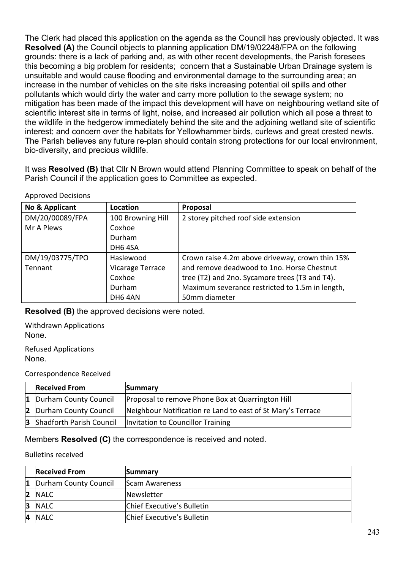The Clerk had placed this application on the agenda as the Council has previously objected. It was **Resolved (A)** the Council objects to planning application DM/19/02248/FPA on the following grounds: there is a lack of parking and, as with other recent developments, the Parish foresees this becoming a big problem for residents; concern that a Sustainable Urban Drainage system is unsuitable and would cause flooding and environmental damage to the surrounding area; an increase in the number of vehicles on the site risks increasing potential oil spills and other pollutants which would dirty the water and carry more pollution to the sewage system; no mitigation has been made of the impact this development will have on neighbouring wetland site of scientific interest site in terms of light, noise, and increased air pollution which all pose a threat to the wildlife in the hedgerow immediately behind the site and the adjoining wetland site of scientific interest; and concern over the habitats for Yellowhammer birds, curlews and great crested newts. The Parish believes any future re-plan should contain strong protections for our local environment, bio-diversity, and precious wildlife.

It was **Resolved (B)** that Cllr N Brown would attend Planning Committee to speak on behalf of the Parish Council if the application goes to Committee as expected.

| <b>Approved Decisions</b> |  |
|---------------------------|--|
|---------------------------|--|

| No & Applicant  | Location          | Proposal                                        |
|-----------------|-------------------|-------------------------------------------------|
| DM/20/00089/FPA | 100 Browning Hill | 2 storey pitched roof side extension            |
| Mr A Plews      | Coxhoe            |                                                 |
|                 | <b>Durham</b>     |                                                 |
|                 | DH6 4SA           |                                                 |
| DM/19/03775/TPO | Haslewood         | Crown raise 4.2m above driveway, crown thin 15% |
| Tennant         | Vicarage Terrace  | and remove deadwood to 1no. Horse Chestnut      |
|                 | Coxhoe            | tree (T2) and 2no. Sycamore trees (T3 and T4).  |
|                 | Durham            | Maximum severance restricted to 1.5m in length, |
|                 | DH6 4AN           | 50mm diameter                                   |

**Resolved (B)** the approved decisions were noted.

Withdrawn Applications None.

Refused Applications None.

Correspondence Received

| <b>Received From</b>              | Summary                                                     |
|-----------------------------------|-------------------------------------------------------------|
| 1 Durham County Council           | Proposal to remove Phone Box at Quarrington Hill            |
| 2 Durham County Council           | Neighbour Notification re Land to east of St Mary's Terrace |
| <b>3</b> Shadforth Parish Council | Invitation to Councillor Training                           |

Members **Resolved (C)** the correspondence is received and noted.

#### Bulletins received

|    | <b>Received From</b>  | Summary                    |
|----|-----------------------|----------------------------|
|    | Durham County Council | Scam Awareness             |
| 12 | <b>NALC</b>           | Newsletter                 |
| 13 | <b>NALC</b>           | Chief Executive's Bulletin |
| 14 | <b>NALC</b>           | Chief Executive's Bulletin |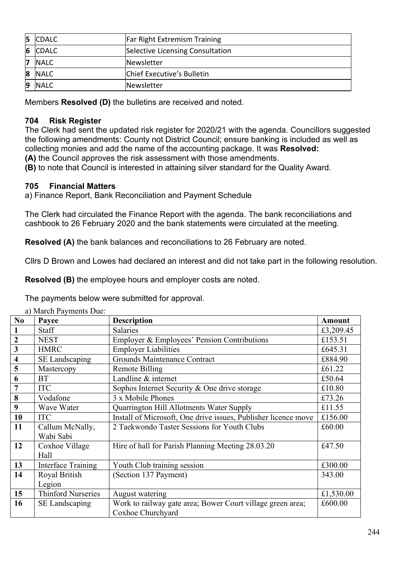| 5  | <b>CDALC</b> | Far Right Extremism Training     |
|----|--------------|----------------------------------|
|    | 6 CDALC      | Selective Licensing Consultation |
| 17 | <b>NALC</b>  | <b>Newsletter</b>                |
|    | 8 NALC       | Chief Executive's Bulletin       |
| 19 | <b>NALC</b>  | Newsletter                       |

Members **Resolved (D)** the bulletins are received and noted.

# **704 Risk Register**

The Clerk had sent the updated risk register for 2020/21 with the agenda. Councillors suggested the following amendments: County not District Council; ensure banking is included as well as collecting monies and add the name of the accounting package. It was **Resolved: (A)** the Council approves the risk assessment with those amendments.

**(B)** to note that Council is interested in attaining silver standard for the Quality Award.

# **705 Financial Matters**

a) Finance Report, Bank Reconciliation and Payment Schedule

The Clerk had circulated the Finance Report with the agenda. The bank reconciliations and cashbook to 26 February 2020 and the bank statements were circulated at the meeting.

**Resolved (A)** the bank balances and reconciliations to 26 February are noted.

Cllrs D Brown and Lowes had declared an interest and did not take part in the following resolution.

**Resolved (B)** the employee hours and employer costs are noted.

The payments below were submitted for approval.

| N <sub>0</sub>          | a) ividivii 1 ayiliviits Duv.<br>Payee | <b>Description</b>                                             | Amount    |
|-------------------------|----------------------------------------|----------------------------------------------------------------|-----------|
|                         | Staff                                  | Salaries                                                       | £3,209.45 |
| $\overline{2}$          | <b>NEST</b>                            | Employer & Employees' Pension Contributions                    | £153.51   |
| $\mathbf{3}$            | <b>HMRC</b>                            | <b>Employer Liabilities</b>                                    | £645.31   |
| $\overline{\mathbf{4}}$ | SE Landscaping                         | Grounds Maintenance Contract                                   | £884.90   |
| 5                       | Mastercopy                             | <b>Remote Billing</b>                                          | £61.22    |
| 6                       | <b>BT</b>                              | Landline & internet                                            | £50.64    |
| 7                       | <b>ITC</b>                             | Sophos Internet Security & One drive storage                   | £10.80    |
| 8                       | Vodafone                               | 3 x Mobile Phones                                              | £73.26    |
| 9                       | Wave Water                             | Quarrington Hill Allotments Water Supply                       | £11.55    |
| 10                      | <b>ITC</b>                             | Install of Microsoft, One drive issues, Publisher licence move | £156.00   |
| 11                      | Callum McNally,                        | 2 Taekwondo Taster Sessions for Youth Clubs                    | £60.00    |
|                         | Wabi Sabi                              |                                                                |           |
| 12                      | Coxhoe Village                         | Hire of hall for Parish Planning Meeting 28.03.20              | £47.50    |
|                         | Hall                                   |                                                                |           |
| 13                      | <b>Interface Training</b>              | Youth Club training session                                    | £300.00   |
| 14                      | Royal British                          | (Section 137 Payment)                                          | 343.00    |
|                         | Legion                                 |                                                                |           |
| 15                      | <b>Thinford Nurseries</b>              | August watering                                                | £1,530.00 |
| 16                      | <b>SE</b> Landscaping                  | Work to railway gate area; Bower Court village green area;     | £600.00   |
|                         |                                        | Coxhoe Churchyard                                              |           |

a) March Payments Due: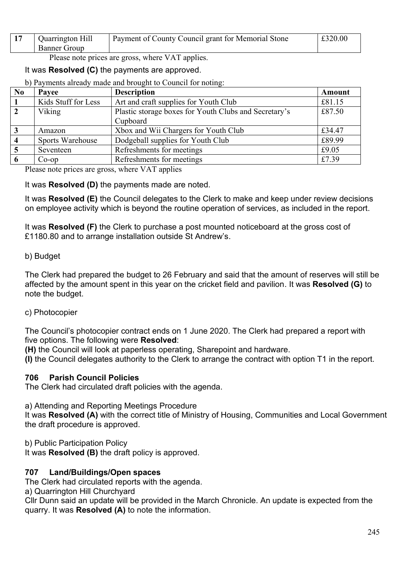| Quarrington Hill<br><b>Banner Group</b> | Payment of County Council grant for Memorial Stone | £320.00 |
|-----------------------------------------|----------------------------------------------------|---------|
| - -                                     |                                                    |         |

Please note prices are gross, where VAT applies.

# It was **Resolved (C)** the payments are approved.

b) Payments already made and brought to Council for noting:

| N <sub>0</sub>          | Payee                   | <b>Description</b>                                    | Amount |
|-------------------------|-------------------------|-------------------------------------------------------|--------|
| 1                       | Kids Stuff for Less     | Art and craft supplies for Youth Club                 | £81.15 |
| $\overline{2}$          | Viking                  | Plastic storage boxes for Youth Clubs and Secretary's |        |
|                         |                         | Cupboard                                              |        |
| $\mathbf{3}$            | Amazon                  | Xbox and Wii Chargers for Youth Club                  | £34.47 |
| $\overline{\mathbf{4}}$ | <b>Sports Warehouse</b> | Dodgeball supplies for Youth Club                     | £89.99 |
| $\overline{5}$          | Seventeen               | Refreshments for meetings                             | £9.05  |
| -6                      | $Co$ -op                | Refreshments for meetings                             | £7.39  |

Please note prices are gross, where VAT applies

It was **Resolved (D)** the payments made are noted.

It was **Resolved (E)** the Council delegates to the Clerk to make and keep under review decisions on employee activity which is beyond the routine operation of services, as included in the report.

It was **Resolved (F)** the Clerk to purchase a post mounted noticeboard at the gross cost of £1180.80 and to arrange installation outside St Andrew's.

### b) Budget

The Clerk had prepared the budget to 26 February and said that the amount of reserves will still be affected by the amount spent in this year on the cricket field and pavilion. It was **Resolved (G)** to note the budget.

c) Photocopier

The Council's photocopier contract ends on 1 June 2020. The Clerk had prepared a report with five options. The following were **Resolved**:

**(H)** the Council will look at paperless operating, Sharepoint and hardware.

**(I)** the Council delegates authority to the Clerk to arrange the contract with option T1 in the report.

## **706 Parish Council Policies**

The Clerk had circulated draft policies with the agenda.

a) Attending and Reporting Meetings Procedure

It was **Resolved (A)** with the correct title of Ministry of Housing, Communities and Local Government the draft procedure is approved.

b) Public Participation Policy

It was **Resolved (B)** the draft policy is approved.

#### **707 Land/Buildings/Open spaces**

The Clerk had circulated reports with the agenda.

a) Quarrington Hill Churchyard

Cllr Dunn said an update will be provided in the March Chronicle. An update is expected from the quarry. It was **Resolved (A)** to note the information.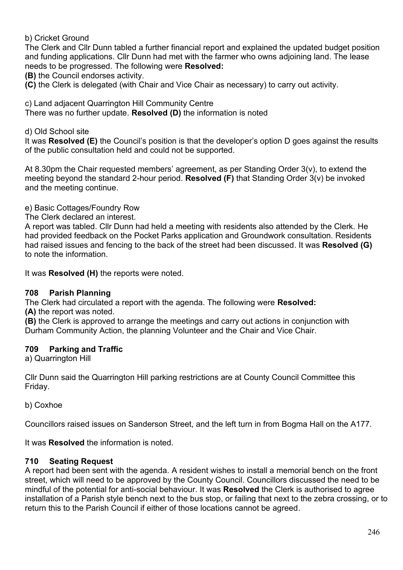b) Cricket Ground

The Clerk and Cllr Dunn tabled a further financial report and explained the updated budget position and funding applications. Cllr Dunn had met with the farmer who owns adjoining land. The lease needs to be progressed. The following were **Resolved:**

**(B)** the Council endorses activity.

**(C)** the Clerk is delegated (with Chair and Vice Chair as necessary) to carry out activity.

c) Land adjacent Quarrington Hill Community Centre

There was no further update. **Resolved (D)** the information is noted

d) Old School site

It was **Resolved (E)** the Council's position is that the developer's option D goes against the results of the public consultation held and could not be supported.

At 8.30pm the Chair requested members' agreement, as per Standing Order 3(v), to extend the meeting beyond the standard 2-hour period. **Resolved (F)** that Standing Order 3(v) be invoked and the meeting continue.

e) Basic Cottages/Foundry Row

The Clerk declared an interest.

A report was tabled. Cllr Dunn had held a meeting with residents also attended by the Clerk. He had provided feedback on the Pocket Parks application and Groundwork consultation. Residents had raised issues and fencing to the back of the street had been discussed. It was **Resolved (G)** to note the information.

It was **Resolved (H)** the reports were noted.

## **708 Parish Planning**

The Clerk had circulated a report with the agenda. The following were **Resolved:** 

**(A)** the report was noted.

**(B)** the Clerk is approved to arrange the meetings and carry out actions in conjunction with Durham Community Action, the planning Volunteer and the Chair and Vice Chair.

## **709 Parking and Traffic**

a) Quarrington Hill

Cllr Dunn said the Quarrington Hill parking restrictions are at County Council Committee this Friday.

b) Coxhoe

Councillors raised issues on Sanderson Street, and the left turn in from Bogma Hall on the A177.

It was **Resolved** the information is noted.

## **710 Seating Request**

A report had been sent with the agenda. A resident wishes to install a memorial bench on the front street, which will need to be approved by the County Council. Councillors discussed the need to be mindful of the potential for anti-social behaviour. It was **Resolved** the Clerk is authorised to agree installation of a Parish style bench next to the bus stop, or failing that next to the zebra crossing, or to return this to the Parish Council if either of those locations cannot be agreed.